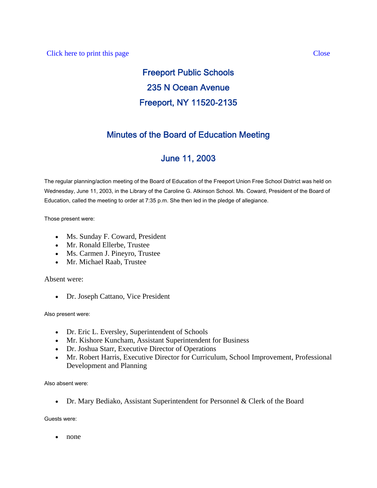# Freeport Public Schools 235 N Ocean Avenue Freeport, NY 11520-2135

## Minutes of the Board of Education Meeting

## June 11, 2003

The regular planning/action meeting of the Board of Education of the Freeport Union Free School District was held on Wednesday, June 11, 2003, in the Library of the Caroline G. Atkinson School. Ms. Coward, President of the Board of Education, called the meeting to order at 7:35 p.m. She then led in the pledge of allegiance.

Those present were:

- Ms. Sunday F. Coward, President
- Mr. Ronald Ellerbe, Trustee
- Ms. Carmen J. Pineyro, Trustee
- Mr. Michael Raab, Trustee

Absent were:

• Dr. Joseph Cattano, Vice President

Also present were:

- Dr. Eric L. Eversley, Superintendent of Schools
- Mr. Kishore Kuncham, Assistant Superintendent for Business
- Dr. Joshua Starr, Executive Director of Operations
- Mr. Robert Harris, Executive Director for Curriculum, School Improvement, Professional Development and Planning

Also absent were:

• Dr. Mary Bediako, Assistant Superintendent for Personnel & Clerk of the Board

Guests were:

• none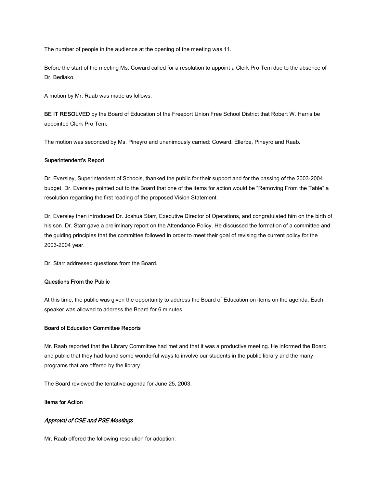The number of people in the audience at the opening of the meeting was 11.

Before the start of the meeting Ms. Coward called for a resolution to appoint a Clerk Pro Tem due to the absence of Dr. Bediako.

A motion by Mr. Raab was made as follows:

BE IT RESOLVED by the Board of Education of the Freeport Union Free School District that Robert W. Harris be appointed Clerk Pro Tem.

The motion was seconded by Ms. Pineyro and unanimously carried: Coward, Ellerbe, Pineyro and Raab.

#### Superintendent's Report

Dr. Eversley, Superintendent of Schools, thanked the public for their support and for the passing of the 2003-2004 budget. Dr. Eversley pointed out to the Board that one of the items for action would be "Removing From the Table" a resolution regarding the first reading of the proposed Vision Statement.

Dr. Eversley then introduced Dr. Joshua Starr, Executive Director of Operations, and congratulated him on the birth of his son. Dr. Starr gave a preliminary report on the Attendance Policy. He discussed the formation of a committee and the guiding principles that the committee followed in order to meet their goal of revising the current policy for the 2003-2004 year.

Dr. Starr addressed questions from the Board.

#### Questions From the Public

At this time, the public was given the opportunity to address the Board of Education on items on the agenda. Each speaker was allowed to address the Board for 6 minutes.

#### Board of Education Committee Reports

Mr. Raab reported that the Library Committee had met and that it was a productive meeting. He informed the Board and public that they had found some wonderful ways to involve our students in the public library and the many programs that are offered by the library.

The Board reviewed the tentative agenda for June 25, 2003.

#### Items for Action

#### Approval of CSE and PSE Meetings

Mr. Raab offered the following resolution for adoption: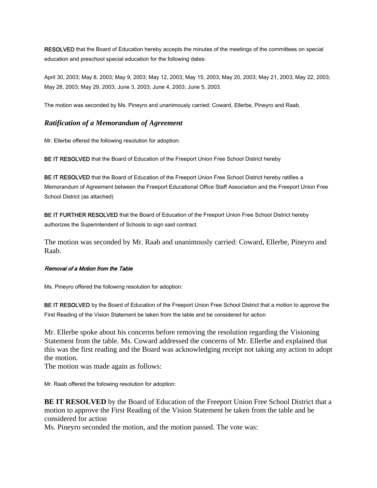RESOLVED that the Board of Education hereby accepts the minutes of the meetings of the committees on special education and preschool special education for the following dates:

April 30, 2003; May 8, 2003; May 9, 2003; May 12, 2003; May 15, 2003; May 20, 2003; May 21, 2003; May 22, 2003; May 28, 2003; May 29, 2003; June 3, 2003; June 4, 2003; June 5, 2003.

The motion was seconded by Ms. Pineyro and unanimously carried: Coward, Ellerbe, Pineyro and Raab.

#### *Ratification of a Memorandum of Agreement*

Mr. Ellerbe offered the following resolution for adoption:

BE IT RESOLVED that the Board of Education of the Freeport Union Free School District hereby

BE IT RESOLVED that the Board of Education of the Freeport Union Free School District hereby ratifies a Memorandum of Agreement between the Freeport Educational Office Staff Association and the Freeport Union Free School District (as attached)

BE IT FURTHER RESOLVED that the Board of Education of the Freeport Union Free School District hereby authorizes the Superintendent of Schools to sign said contract.

The motion was seconded by Mr. Raab and unanimously carried: Coward, Ellerbe, Pineyro and Raab.

#### Removal of a Motion from the Table

Ms. Pineyro offered the following resolution for adoption:

BE IT RESOLVED by the Board of Education of the Freeport Union Free School District that a motion to approve the First Reading of the Vision Statement be taken from the table and be considered for action

Mr. Ellerbe spoke about his concerns before removing the resolution regarding the Visioning Statement from the table. Ms. Coward addressed the concerns of Mr. Ellerbe and explained that this was the first reading and the Board was acknowledging receipt not taking any action to adopt the motion.

The motion was made again as follows:

Mr. Raab offered the following resolution for adoption:

**BE IT RESOLVED** by the Board of Education of the Freeport Union Free School District that a motion to approve the First Reading of the Vision Statement be taken from the table and be considered for action

Ms. Pineyro seconded the motion, and the motion passed. The vote was: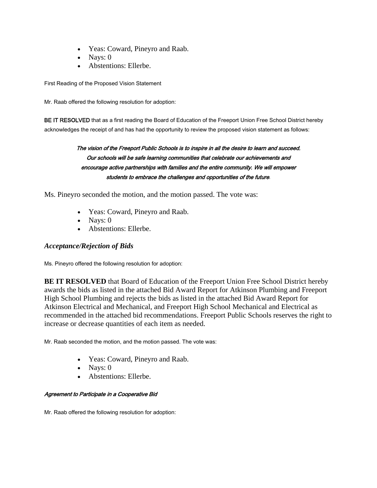- Yeas: Coward, Pineyro and Raab.
- Nays:  $0$
- Abstentions: Ellerbe.

First Reading of the Proposed Vision Statement

Mr. Raab offered the following resolution for adoption:

BE IT RESOLVED that as a first reading the Board of Education of the Freeport Union Free School District hereby acknowledges the receipt of and has had the opportunity to review the proposed vision statement as follows:

### The vision of the Freeport Public Schools is to inspire in all the desire to learn and succeed. Our schools will be safe learning communities that celebrate our achievements and encourage active partnerships with families and the entire community. We will empower students to embrace the challenges and opportunities of the future.

Ms. Pineyro seconded the motion, and the motion passed. The vote was:

- Yeas: Coward, Pineyro and Raab.
- Nays:  $0$
- Abstentions: Ellerbe.

### *Acceptance/Rejection of Bids*

Ms. Pineyro offered the following resolution for adoption:

**BE IT RESOLVED** that Board of Education of the Freeport Union Free School District hereby awards the bids as listed in the attached Bid Award Report for Atkinson Plumbing and Freeport High School Plumbing and rejects the bids as listed in the attached Bid Award Report for Atkinson Electrical and Mechanical, and Freeport High School Mechanical and Electrical as recommended in the attached bid recommendations. Freeport Public Schools reserves the right to increase or decrease quantities of each item as needed.

Mr. Raab seconded the motion, and the motion passed. The vote was:

- Yeas: Coward, Pineyro and Raab.
- Navs:  $0$
- Abstentions: Ellerbe.

#### Agreement to Participate in a Cooperative Bid

Mr. Raab offered the following resolution for adoption: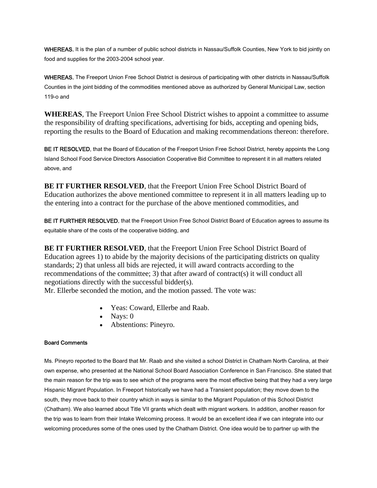WHEREAS, It is the plan of a number of public school districts in Nassau/Suffolk Counties, New York to bid jointly on food and supplies for the 2003-2004 school year.

WHEREAS, The Freeport Union Free School District is desirous of participating with other districts in Nassau/Suffolk Counties in the joint bidding of the commodities mentioned above as authorized by General Municipal Law, section 119-o and

**WHEREAS**, The Freeport Union Free School District wishes to appoint a committee to assume the responsibility of drafting specifications, advertising for bids, accepting and opening bids, reporting the results to the Board of Education and making recommendations thereon: therefore.

BE IT RESOLVED, that the Board of Education of the Freeport Union Free School District, hereby appoints the Long Island School Food Service Directors Association Cooperative Bid Committee to represent it in all matters related above, and

**BE IT FURTHER RESOLVED, that the Freeport Union Free School District Board of** Education authorizes the above mentioned committee to represent it in all matters leading up to the entering into a contract for the purchase of the above mentioned commodities, and

BE IT FURTHER RESOLVED, that the Freeport Union Free School District Board of Education agrees to assume its equitable share of the costs of the cooperative bidding, and

**BE IT FURTHER RESOLVED, that the Freeport Union Free School District Board of** Education agrees 1) to abide by the majority decisions of the participating districts on quality standards; 2) that unless all bids are rejected, it will award contracts according to the recommendations of the committee; 3) that after award of contract(s) it will conduct all negotiations directly with the successful bidder(s).

Mr. Ellerbe seconded the motion, and the motion passed. The vote was:

- Yeas: Coward, Ellerbe and Raab.
- Nays: 0
- Abstentions: Pineyro.

#### Board Comments

Ms. Pineyro reported to the Board that Mr. Raab and she visited a school District in Chatham North Carolina, at their own expense, who presented at the National School Board Association Conference in San Francisco. She stated that the main reason for the trip was to see which of the programs were the most effective being that they had a very large Hispanic Migrant Population. In Freeport historically we have had a Transient population; they move down to the south, they move back to their country which in ways is similar to the Migrant Population of this School District (Chatham). We also learned about Title VII grants which dealt with migrant workers. In addition, another reason for the trip was to learn from their Intake Welcoming process. It would be an excellent idea if we can integrate into our welcoming procedures some of the ones used by the Chatham District. One idea would be to partner up with the